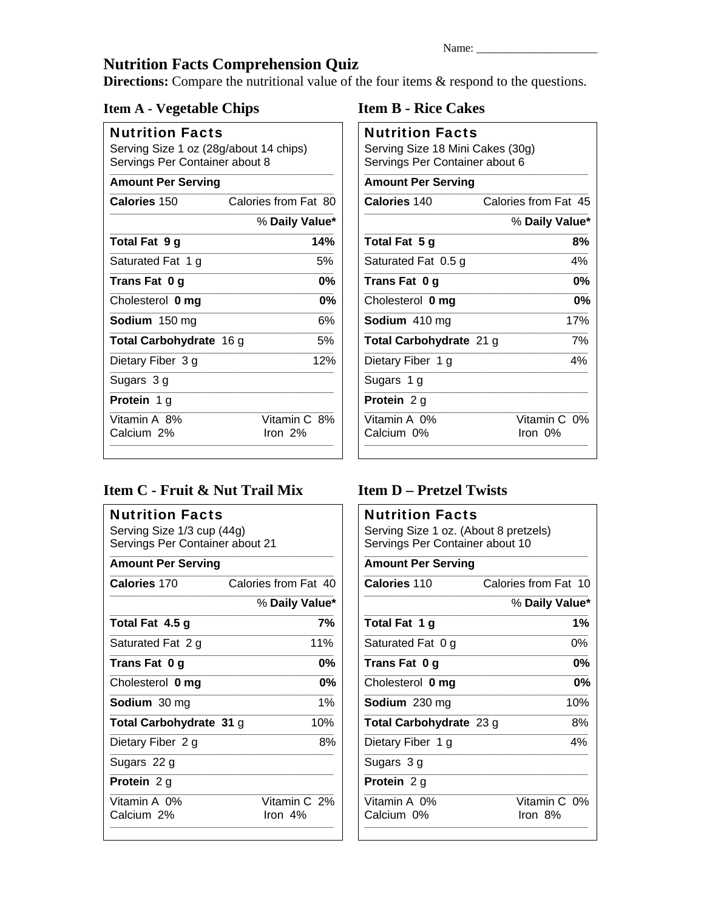# **Nutrition Facts Comprehension Quiz**

**Directions:** Compare the nutritional value of the four items & respond to the questions.

### **Item A - Vegetable Chips**

| <b>Nutrition Facts</b>                                                   |                      |  |  |  |
|--------------------------------------------------------------------------|----------------------|--|--|--|
| Serving Size 1 oz (28g/about 14 chips)<br>Servings Per Container about 8 |                      |  |  |  |
| <b>Amount Per Serving</b>                                                |                      |  |  |  |
| Calories 150                                                             | Calories from Fat 80 |  |  |  |

|                                | % Daily Value*          |  |
|--------------------------------|-------------------------|--|
| Total Fat 9 g                  | 14%                     |  |
| Saturated Fat 1 g              | 5%                      |  |
| Trans Fat 0 g                  | 0%                      |  |
| Cholesterol 0 mg               | 0%                      |  |
| Sodium 150 mg                  | 6%                      |  |
| <b>Total Carbohydrate 16 g</b> | 5%                      |  |
| Dietary Fiber 3 g              | 12%                     |  |
| Sugars 3 g                     |                         |  |
| <b>Protein</b> 1 g             |                         |  |
| Vitamin A 8%<br>Calcium 2%     | Vitamin C 8%<br>Iron 2% |  |

### Item C - Fruit & Nut Trail Mix

| <b>Nutrition Facts</b><br>Serving Size 1/3 cup (44g)<br>Servings Per Container about 21 |                            |
|-----------------------------------------------------------------------------------------|----------------------------|
| <b>Amount Per Serving</b>                                                               |                            |
| Calories 170                                                                            | Calories from Fat 40       |
|                                                                                         | % Daily Value*             |
| Total Fat 4.5 g                                                                         | 7%                         |
| Saturated Fat 2 g                                                                       | 11%                        |
| Trans Fat 0 g                                                                           | 0%                         |
| Cholesterol 0 mg                                                                        | 0%                         |
| <b>Sodium</b> 30 mg                                                                     | 1%                         |
| Total Carbohydrate 31 g                                                                 | 10%                        |
| Dietary Fiber 2 g                                                                       | 8%                         |
| Sugars 22 g                                                                             |                            |
| Protein 2 g                                                                             |                            |
| Vitamin A 0%<br>Calcium 2%                                                              | Vitamin C 2%<br>Iron $4\%$ |

### **Item B - Rice Cakes**

| <b>Nutrition Facts</b><br>Serving Size 18 Mini Cakes (30g)<br>Servings Per Container about 6 |                         |  |  |  |  |
|----------------------------------------------------------------------------------------------|-------------------------|--|--|--|--|
| <b>Amount Per Serving</b>                                                                    |                         |  |  |  |  |
| Calories 140                                                                                 | Calories from Fat 45    |  |  |  |  |
|                                                                                              | % Daily Value*          |  |  |  |  |
| Total Fat 5 g                                                                                | 8%                      |  |  |  |  |
| Saturated Fat 0.5 g                                                                          | 4%                      |  |  |  |  |
| Trans Fat 0 g                                                                                | 0%                      |  |  |  |  |
| Cholesterol 0 mg                                                                             | 0%                      |  |  |  |  |
| Sodium 410 mg                                                                                | 17%                     |  |  |  |  |
| Total Carbohydrate 21 g                                                                      |                         |  |  |  |  |
| Dietary Fiber 1 g                                                                            | 4%                      |  |  |  |  |
| Sugars 1 g                                                                                   |                         |  |  |  |  |
| Protein 2 g                                                                                  |                         |  |  |  |  |
| Vitamin A 0%<br>Calcium 0%                                                                   | Vitamin C 0%<br>Iron 0% |  |  |  |  |

## **Item D - Pretzel Twists**

| <b>Nutrition Facts</b><br>Serving Size 1 oz. (About 8 pretzels)<br>Servings Per Container about 10 |                         |
|----------------------------------------------------------------------------------------------------|-------------------------|
| <b>Amount Per Serving</b>                                                                          |                         |
| <b>Calories 110</b>                                                                                | Calories from Fat 10    |
|                                                                                                    | % Daily Value*          |
| Total Fat 1 g                                                                                      | 1%                      |
| Saturated Fat 0 g                                                                                  | 0%                      |
| Trans Fat 0 g                                                                                      | 0%                      |
| Cholesterol 0 mg                                                                                   | $0\%$                   |
| <b>Sodium</b> 230 mg                                                                               | 10%                     |
| Total Carbohydrate 23 g                                                                            | 8%                      |
| Dietary Fiber 1 g                                                                                  | 4%                      |
| Sugars 3 g                                                                                         |                         |
| Protein 2 g                                                                                        |                         |
| Vitamin A 0%<br>Calcium 0%                                                                         | Vitamin C 0%<br>lron 8% |